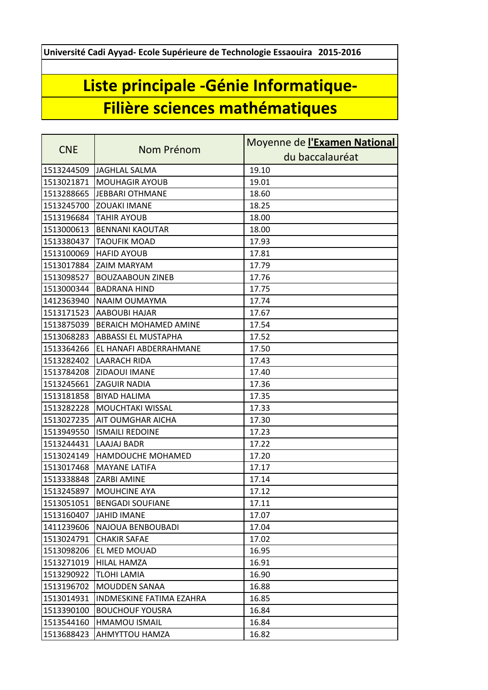**Université Cadi Ayyad- Ecole Supérieure de Technologie Essaouira 2015-2016**

## **Liste principale -Génie Informatique-Filière sciences mathématiques**

| <b>CNE</b> | Nom Prénom                 | Moyenne de l'Examen National |
|------------|----------------------------|------------------------------|
|            |                            | du baccalauréat              |
| 1513244509 | JAGHLAL SALMA              | 19.10                        |
| 1513021871 | <b>MOUHAGIR AYOUB</b>      | 19.01                        |
| 1513288665 | <b>JEBBARI OTHMANE</b>     | 18.60                        |
| 1513245700 | <b>ZOUAKI IMANE</b>        | 18.25                        |
| 1513196684 | <b>TAHIR AYOUB</b>         | 18.00                        |
| 1513000613 | <b>BENNANI KAOUTAR</b>     | 18.00                        |
| 1513380437 | <b>TAOUFIK MOAD</b>        | 17.93                        |
| 1513100069 | <b>HAFID AYOUB</b>         | 17.81                        |
| 1513017884 | <b>ZAIM MARYAM</b>         | 17.79                        |
| 1513098527 | <b>BOUZAABOUN ZINEB</b>    | 17.76                        |
| 1513000344 | <b>BADRANA HIND</b>        | 17.75                        |
| 1412363940 | NAAIM OUMAYMA              | 17.74                        |
| 1513171523 | <b>AABOUBI HAJAR</b>       | 17.67                        |
| 1513875039 | BERAICH MOHAMED AMINE      | 17.54                        |
| 1513068283 | <b>ABBASSI EL MUSTAPHA</b> | 17.52                        |
| 1513364266 | EL HANAFI ABDERRAHMANE     | 17.50                        |
| 1513282402 | <b>LAARACH RIDA</b>        | 17.43                        |
| 1513784208 | ZIDAOUI IMANE              | 17.40                        |
| 1513245661 | <b>ZAGUIR NADIA</b>        | 17.36                        |
| 1513181858 | <b>BIYAD HALIMA</b>        | 17.35                        |
| 1513282228 | <b>MOUCHTAKI WISSAL</b>    | 17.33                        |
| 1513027235 | <b>AIT OUMGHAR AICHA</b>   | 17.30                        |
| 1513949550 | <b>ISMAILI REDOINE</b>     | 17.23                        |
| 1513244431 | LAAJAJ BADR                | 17.22                        |
| 1513024149 | HAMDOUCHE MOHAMED          | 17.20                        |
| 1513017468 | <b>MAYANE LATIFA</b>       | 17.17                        |
| 1513338848 | <b>ZARBI AMINE</b>         | 17.14                        |
| 1513245897 | <b>MOUHCINE AYA</b>        | 17.12                        |
| 1513051051 | <b>BENGADI SOUFIANE</b>    | 17.11                        |
| 1513160407 | <b>JAHID IMANE</b>         | 17.07                        |
| 1411239606 | NAJOUA BENBOUBADI          | 17.04                        |
| 1513024791 | <b>CHAKIR SAFAE</b>        | 17.02                        |
| 1513098206 | EL MED MOUAD               | 16.95                        |
| 1513271019 | <b>HILAL HAMZA</b>         | 16.91                        |
| 1513290922 | TLOHI LAMIA                | 16.90                        |
| 1513196702 | MOUDDEN SANAA              | 16.88                        |
| 1513014931 | INDMESKINE FATIMA EZAHRA   | 16.85                        |
| 1513390100 | <b>BOUCHOUF YOUSRA</b>     | 16.84                        |
| 1513544160 | <b>HMAMOU ISMAIL</b>       | 16.84                        |
| 1513688423 | AHMYTTOU HAMZA             | 16.82                        |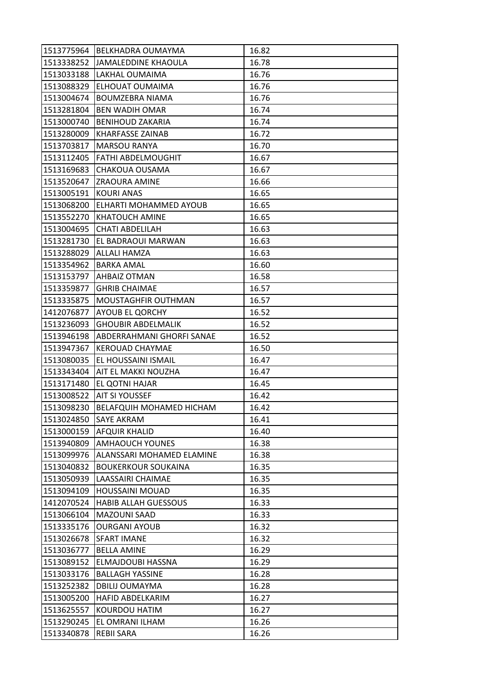|            | 1513775964 BELKHADRA OUMAYMA     | 16.82 |
|------------|----------------------------------|-------|
|            | 1513338252 JJAMALEDDINE KHAOULA  | 16.78 |
| 1513033188 | LAKHAL OUMAIMA                   | 16.76 |
| 1513088329 | ELHOUAT OUMAIMA                  | 16.76 |
| 1513004674 | <b>BOUMZEBRA NIAMA</b>           | 16.76 |
| 1513281804 | <b>BEN WADIH OMAR</b>            | 16.74 |
| 1513000740 | <b>BENIHOUD ZAKARIA</b>          | 16.74 |
| 1513280009 | <b>KHARFASSE ZAINAB</b>          | 16.72 |
| 1513703817 | <b>MARSOU RANYA</b>              | 16.70 |
| 1513112405 | <b>FATHI ABDELMOUGHIT</b>        | 16.67 |
| 1513169683 | <b>CHAKOUA OUSAMA</b>            | 16.67 |
| 1513520647 | <b>ZRAOURA AMINE</b>             | 16.66 |
| 1513005191 | <b>KOURI ANAS</b>                | 16.65 |
| 1513068200 | ELHARTI MOHAMMED AYOUB           | 16.65 |
| 1513552270 | <b>KHATOUCH AMINE</b>            | 16.65 |
| 1513004695 | <b>CHATI ABDELILAH</b>           | 16.63 |
| 1513281730 | <b>EL BADRAOUI MARWAN</b>        | 16.63 |
| 1513288029 | ALLALI HAMZA                     | 16.63 |
| 1513354962 | <b>BARKA AMAL</b>                | 16.60 |
| 1513153797 | <b>AHBAIZ OTMAN</b>              | 16.58 |
| 1513359877 | <b>GHRIB CHAIMAE</b>             | 16.57 |
| 1513335875 | <b>MOUSTAGHFIR OUTHMAN</b>       | 16.57 |
| 1412076877 | <b>AYOUB EL QORCHY</b>           | 16.52 |
| 1513236093 | <b>GHOUBIR ABDELMALIK</b>        | 16.52 |
| 1513946198 | ABDERRAHMANI GHORFI SANAE        | 16.52 |
| 1513947367 | <b>KEROUAD CHAYMAE</b>           | 16.50 |
| 1513080035 | <b>EL HOUSSAINI ISMAIL</b>       | 16.47 |
|            | 1513343404 AIT EL MAKKI NOUZHA   | 16.47 |
| 1513171480 | EL QOTNI HAJAR                   | 16.45 |
| 1513008522 | <b>AIT SI YOUSSEF</b>            | 16.42 |
| 1513098230 | <b>BELAFQUIH MOHAMED HICHAM</b>  | 16.42 |
| 1513024850 | <b>SAYE AKRAM</b>                | 16.41 |
| 1513000159 | <b>AFQUIR KHALID</b>             | 16.40 |
| 1513940809 | <b>AMHAOUCH YOUNES</b>           | 16.38 |
| 1513099976 | <b>ALANSSARI MOHAMED ELAMINE</b> | 16.38 |
| 1513040832 | <b>BOUKERKOUR SOUKAINA</b>       | 16.35 |
| 1513050939 | LAASSAIRI CHAIMAE                | 16.35 |
| 1513094109 | <b>HOUSSAINI MOUAD</b>           | 16.35 |
| 1412070524 | <b>HABIB ALLAH GUESSOUS</b>      | 16.33 |
| 1513066104 | <b>MAZOUNI SAAD</b>              | 16.33 |
| 1513335176 | <b>OURGANI AYOUB</b>             | 16.32 |
| 1513026678 | <b>SFART IMANE</b>               | 16.32 |
| 1513036777 | <b>BELLA AMINE</b>               | 16.29 |
| 1513089152 | ELMAJDOUBI HASSNA                | 16.29 |
| 1513033176 | <b>BALLAGH YASSINE</b>           | 16.28 |
| 1513252382 | <b>DBILIJ OUMAYMA</b>            | 16.28 |
| 1513005200 | <b>HAFID ABDELKARIM</b>          | 16.27 |
| 1513625557 | <b>KOURDOU HATIM</b>             | 16.27 |
| 1513290245 | EL OMRANI ILHAM                  | 16.26 |
| 1513340878 | <b>REBII SARA</b>                | 16.26 |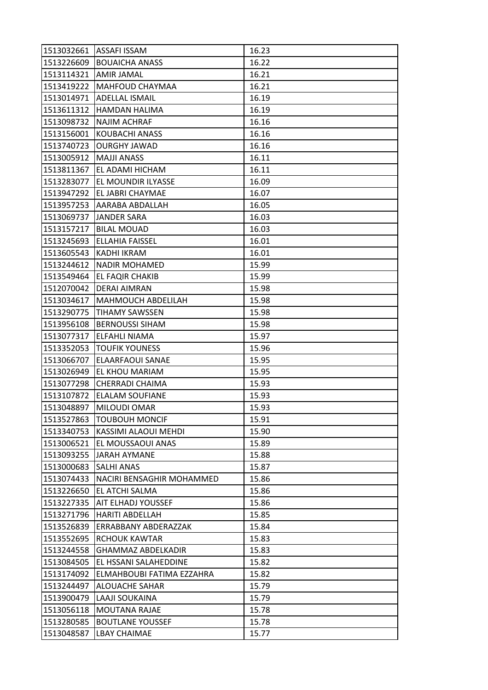|                       | 1513032661   ASSAFI ISSAM | 16.23 |
|-----------------------|---------------------------|-------|
|                       | 1513226609 BOUAICHA ANASS | 16.22 |
| 1513114321 AMIR JAMAL |                           | 16.21 |
| 1513419222            | MAHFOUD CHAYMAA           | 16.21 |
| 1513014971            | <b>ADELLAL ISMAIL</b>     | 16.19 |
| 1513611312            | HAMDAN HALIMA             | 16.19 |
| 1513098732            | <b>NAJIM ACHRAF</b>       | 16.16 |
| 1513156001            | KOUBACHI ANASS            | 16.16 |
| 1513740723            | <b>OURGHY JAWAD</b>       | 16.16 |
| 1513005912            | <b>MAJJI ANASS</b>        | 16.11 |
| 1513811367            | EL ADAMI HICHAM           | 16.11 |
| 1513283077            | EL MOUNDIR ILYASSE        | 16.09 |
| 1513947292            | EL JABRI CHAYMAE          | 16.07 |
| 1513957253            | AARABA ABDALLAH           | 16.05 |
| 1513069737            | <b>JANDER SARA</b>        | 16.03 |
| 1513157217            | <b>BILAL MOUAD</b>        | 16.03 |
| 1513245693            | ELLAHIA FAISSEL           | 16.01 |
| 1513605543            | KADHI IKRAM               | 16.01 |
| 1513244612            | <b>NADIR MOHAMED</b>      | 15.99 |
| 1513549464            | EL FAQIR CHAKIB           | 15.99 |
| 1512070042            | DERAI AIMRAN              | 15.98 |
| 1513034617            | <b>MAHMOUCH ABDELILAH</b> | 15.98 |
| 1513290775            | <b>TIHAMY SAWSSEN</b>     | 15.98 |
| 1513956108            | <b>BERNOUSSI SIHAM</b>    | 15.98 |
| 1513077317            | ELFAHLI NIAMA             | 15.97 |
| 1513352053            | <b>TOUFIK YOUNESS</b>     | 15.96 |
| 1513066707            | ELAARFAOUI SANAE          | 15.95 |
| 1513026949            | EL KHOU MARIAM            | 15.95 |
| 1513077298            | CHERRADI CHAIMA           | 15.93 |
| 1513107872            | <b>ELALAM SOUFIANE</b>    | 15.93 |
| 1513048897            | MILOUDI OMAR              | 15.93 |
| 1513527863            | <b>TOUBOUH MONCIF</b>     | 15.91 |
| 1513340753            | KASSIMI ALAOUI MEHDI      | 15.90 |
| 1513006521            | EL MOUSSAOUI ANAS         | 15.89 |
| 1513093255            | <b>JARAH AYMANE</b>       | 15.88 |
| 1513000683            | <b>SALHI ANAS</b>         | 15.87 |
| 1513074433            | NACIRI BENSAGHIR MOHAMMED | 15.86 |
| 1513226650            | EL ATCHI SALMA            | 15.86 |
| 1513227335            | AIT ELHADJ YOUSSEF        | 15.86 |
| 1513271796            | <b>HARITI ABDELLAH</b>    | 15.85 |
| 1513526839            | ERRABBANY ABDERAZZAK      | 15.84 |
| 1513552695            | <b>RCHOUK KAWTAR</b>      | 15.83 |
| 1513244558            | <b>GHAMMAZ ABDELKADIR</b> | 15.83 |
| 1513084505            | EL HSSANI SALAHEDDINE     | 15.82 |
| 1513174092            | ELMAHBOUBI FATIMA EZZAHRA | 15.82 |
| 1513244497            | ALOUACHE SAHAR            | 15.79 |
| 1513900479            | LAAJI SOUKAINA            | 15.79 |
| 1513056118            | MOUTANA RAJAE             | 15.78 |
| 1513280585            | <b>BOUTLANE YOUSSEF</b>   | 15.78 |
| 1513048587            | <b>LBAY CHAIMAE</b>       | 15.77 |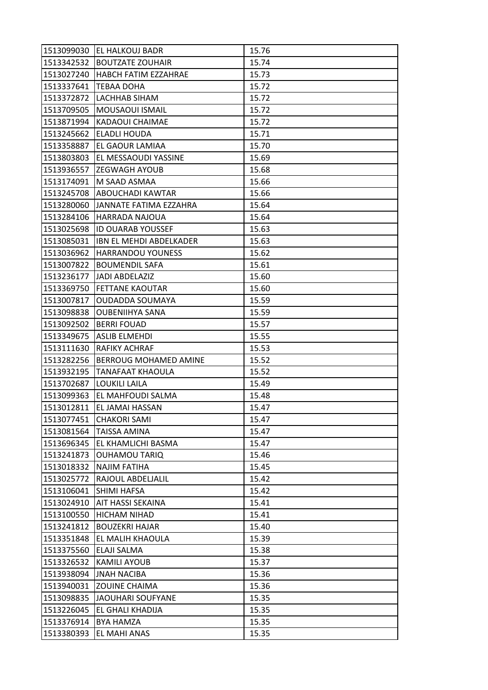|            | 1513099030 EL HALKOUJ BADR  | 15.76 |
|------------|-----------------------------|-------|
|            | 1513342532 BOUTZATE ZOUHAIR | 15.74 |
| 1513027240 | HABCH FATIM EZZAHRAE        | 15.73 |
| 1513337641 | TEBAA DOHA                  | 15.72 |
| 1513372872 | LACHHAB SIHAM               | 15.72 |
| 1513709505 | MOUSAOUI ISMAIL             | 15.72 |
| 1513871994 | KADAOUI CHAIMAE             | 15.72 |
| 1513245662 | <b>ELADLI HOUDA</b>         | 15.71 |
| 1513358887 | EL GAOUR LAMIAA             | 15.70 |
| 1513803803 | EL MESSAOUDI YASSINE        | 15.69 |
|            | 1513936557 ZEGWAGH AYOUB    | 15.68 |
| 1513174091 | <b>M SAAD ASMAA</b>         | 15.66 |
| 1513245708 | IABOUCHADI KAWTAR           | 15.66 |
| 1513280060 | JANNATE FATIMA EZZAHRA      | 15.64 |
| 1513284106 | HARRADA NAJOUA              | 15.64 |
| 1513025698 | <b>ID OUARAB YOUSSEF</b>    | 15.63 |
| 1513085031 | IBN EL MEHDI ABDELKADER     | 15.63 |
| 1513036962 | <b>HARRANDOU YOUNESS</b>    | 15.62 |
| 1513007822 | <b>BOUMENDIL SAFA</b>       | 15.61 |
| 1513236177 | <b>JADI ABDELAZIZ</b>       | 15.60 |
| 1513369750 | <b>FETTANE KAOUTAR</b>      | 15.60 |
| 1513007817 | <b>OUDADDA SOUMAYA</b>      | 15.59 |
| 1513098838 | <b>OUBENIIHYA SANA</b>      | 15.59 |
| 1513092502 | <b>BERRI FOUAD</b>          | 15.57 |
| 1513349675 | <b>ASLIB ELMEHDI</b>        | 15.55 |
| 1513111630 | <b>RAFIKY ACHRAF</b>        | 15.53 |
| 1513282256 | BERROUG MOHAMED AMINE       | 15.52 |
| 1513932195 | <b>TANAFAAT KHAOULA</b>     | 15.52 |
| 1513702687 | <b>LOUKILI LAILA</b>        | 15.49 |
| 1513099363 | EL MAHFOUDI SALMA           | 15.48 |
| 1513012811 | <b>EL JAMAI HASSAN</b>      | 15.47 |
| 1513077451 | <b>CHAKORI SAMI</b>         | 15.47 |
| 1513081564 | <b>TAISSA AMINA</b>         | 15.47 |
| 1513696345 | EL KHAMLICHI BASMA          | 15.47 |
| 1513241873 | <b>OUHAMOU TARIQ</b>        | 15.46 |
| 1513018332 | <b>NAJIM FATIHA</b>         | 15.45 |
| 1513025772 | RAJOUL ABDELJALIL           | 15.42 |
| 1513106041 | <b>SHIMI HAFSA</b>          | 15.42 |
| 1513024910 | AIT HASSI SEKAINA           | 15.41 |
| 1513100550 | <b>HICHAM NIHAD</b>         | 15.41 |
| 1513241812 | <b>BOUZEKRI HAJAR</b>       | 15.40 |
| 1513351848 | EL MALIH KHAOULA            | 15.39 |
| 1513375560 | ELAJI SALMA                 | 15.38 |
| 1513326532 | KAMILI AYOUB                | 15.37 |
| 1513938094 | <b>JNAH NACIBA</b>          | 15.36 |
| 1513940031 | <b>ZOUINE CHAIMA</b>        | 15.36 |
| 1513098835 | JAOUHARI SOUFYANE           | 15.35 |
| 1513226045 | EL GHALI KHADIJA            | 15.35 |
| 1513376914 | <b>BYA HAMZA</b>            | 15.35 |
| 1513380393 | EL MAHI ANAS                | 15.35 |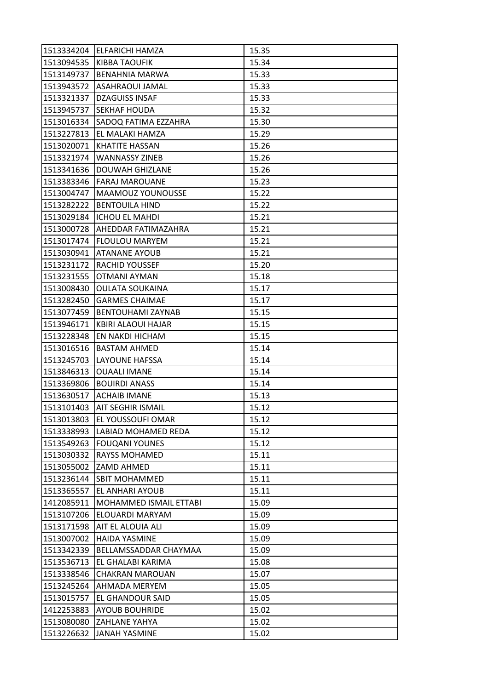|            | 1513334204 ELFARICHI HAMZA       | 15.35 |
|------------|----------------------------------|-------|
|            | 1513094535 KIBBA TAOUFIK         | 15.34 |
| 1513149737 | <b>BENAHNIA MARWA</b>            | 15.33 |
| 1513943572 | <b>ASAHRAOUI JAMAL</b>           | 15.33 |
| 1513321337 | <b>DZAGUISS INSAF</b>            | 15.33 |
| 1513945737 | <b>SEKHAF HOUDA</b>              | 15.32 |
| 1513016334 | SADOQ FATIMA EZZAHRA             | 15.30 |
| 1513227813 | IEL MALAKI HAMZA                 | 15.29 |
| 1513020071 | <b>KHATITE HASSAN</b>            | 15.26 |
| 1513321974 | <b>WANNASSY ZINEB</b>            | 15.26 |
| 1513341636 | <b>DOUWAH GHIZLANE</b>           | 15.26 |
| 1513383346 | <b>FARAJ MAROUANE</b>            | 15.23 |
| 1513004747 | MAAMOUZ YOUNOUSSE                | 15.22 |
| 1513282222 | <b>BENTOUILA HIND</b>            | 15.22 |
| 1513029184 | <b>ICHOU EL MAHDI</b>            | 15.21 |
|            | 1513000728   AHEDDAR FATIMAZAHRA | 15.21 |
| 1513017474 | FLOULOU MARYEM                   | 15.21 |
| 1513030941 | <b>ATANANE AYOUB</b>             | 15.21 |
| 1513231172 | <b>RACHID YOUSSEF</b>            | 15.20 |
| 1513231555 | OTMANI AYMAN                     | 15.18 |
| 1513008430 | <b>OULATA SOUKAINA</b>           | 15.17 |
| 1513282450 | <b>GARMES CHAIMAE</b>            | 15.17 |
| 1513077459 | <b>BENTOUHAMI ZAYNAB</b>         | 15.15 |
| 1513946171 | KBIRI ALAOUI HAJAR               | 15.15 |
| 1513228348 | <b>EN NAKDI HICHAM</b>           | 15.15 |
| 1513016516 | <b>BASTAM AHMED</b>              | 15.14 |
| 1513245703 | <b>LAYOUNE HAFSSA</b>            | 15.14 |
| 1513846313 | <b>OUAALI IMANE</b>              | 15.14 |
| 1513369806 | <b>BOUIRDI ANASS</b>             | 15.14 |
|            | 1513630517 ACHAIB IMANE          | 15.13 |
| 1513101403 | <b>AIT SEGHIR ISMAIL</b>         | 15.12 |
| 1513013803 | EL YOUSSOUFI OMAR                | 15.12 |
| 1513338993 | <b>LABIAD MOHAMED REDA</b>       | 15.12 |
| 1513549263 | <b>FOUQANI YOUNES</b>            | 15.12 |
| 1513030332 | <b>RAYSS MOHAMED</b>             | 15.11 |
| 1513055002 | <b>ZAMD AHMED</b>                | 15.11 |
| 1513236144 | <b>SBIT MOHAMMED</b>             | 15.11 |
| 1513365557 | EL ANHARI AYOUB                  | 15.11 |
| 1412085911 | MOHAMMED ISMAIL ETTABI           | 15.09 |
| 1513107206 | <b>ELOUARDI MARYAM</b>           | 15.09 |
| 1513171598 | AIT EL ALOUIA ALI                | 15.09 |
| 1513007002 | <b>HAIDA YASMINE</b>             | 15.09 |
| 1513342339 | BELLAMSSADDAR CHAYMAA            | 15.09 |
| 1513536713 | EL GHALABI KARIMA                | 15.08 |
| 1513338546 | <b>CHAKRAN MAROUAN</b>           | 15.07 |
| 1513245264 | AHMADA MERYEM                    | 15.05 |
| 1513015757 | <b>EL GHANDOUR SAID</b>          | 15.05 |
| 1412253883 | <b>AYOUB BOUHRIDE</b>            | 15.02 |
| 1513080080 | <b>ZAHLANE YAHYA</b>             | 15.02 |
| 1513226632 | <b>JANAH YASMINE</b>             | 15.02 |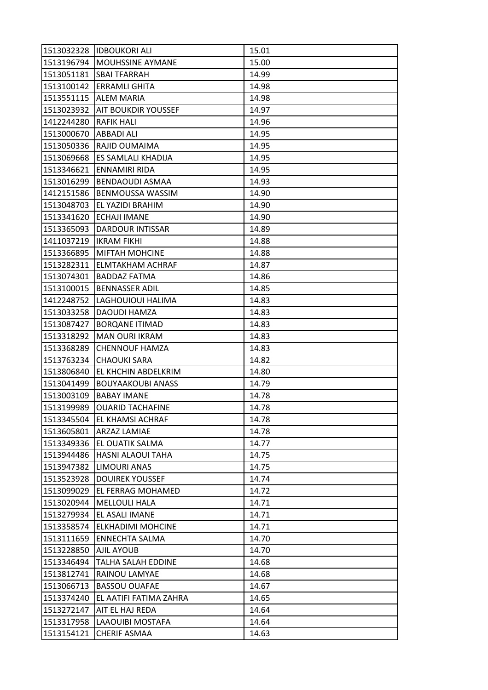|            | 1513032328 IDBOUKORI ALI        | 15.01 |
|------------|---------------------------------|-------|
|            | 1513196794  MOUHSSINE AYMANE    | 15.00 |
| 1513051181 | <b>SBAI TFARRAH</b>             | 14.99 |
|            | 1513100142 ERRAMLI GHITA        | 14.98 |
| 1513551115 | <b>ALEM MARIA</b>               | 14.98 |
|            | 1513023932  AIT BOUKDIR YOUSSEF | 14.97 |
| 1412244280 | <b>RAFIK HALI</b>               | 14.96 |
| 1513000670 | ABBADI ALI                      | 14.95 |
|            | 1513050336 RAJID OUMAIMA        | 14.95 |
| 1513069668 | ES SAMLALI KHADIJA              | 14.95 |
|            | 1513346621  ENNAMIRI RIDA       | 14.95 |
| 1513016299 | <b>BENDAOUDI ASMAA</b>          | 14.93 |
| 1412151586 | IBENMOUSSA WASSIM               | 14.90 |
|            | 1513048703 EL YAZIDI BRAHIM     | 14.90 |
| 1513341620 | <b>ECHAJI IMANE</b>             | 14.90 |
|            | 1513365093   DARDOUR INTISSAR   | 14.89 |
| 1411037219 | <b>IKRAM FIKHI</b>              | 14.88 |
| 1513366895 | <b>MIFTAH MOHCINE</b>           | 14.88 |
|            | 1513282311 ELMTAKHAM ACHRAF     | 14.87 |
| 1513074301 | <b>BADDAZ FATMA</b>             | 14.86 |
|            | 1513100015   BENNASSER ADIL     | 14.85 |
| 1412248752 | LAGHOUIOUI HALIMA               | 14.83 |
| 1513033258 | DAOUDI HAMZA                    | 14.83 |
| 1513087427 | <b>BORQANE ITIMAD</b>           | 14.83 |
| 1513318292 | <b>MAN OURI IKRAM</b>           | 14.83 |
| 1513368289 | <b>CHENNOUF HAMZA</b>           | 14.83 |
| 1513763234 | <b>CHAOUKI SARA</b>             | 14.82 |
| 1513806840 | <b>EL KHCHIN ABDELKRIM</b>      | 14.80 |
| 1513041499 | <b>BOUYAAKOUBI ANASS</b>        | 14.79 |
| 1513003109 | <b>BABAY IMANE</b>              | 14.78 |
| 1513199989 | <b>OUARID TACHAFINE</b>         | 14.78 |
|            | 1513345504 EL KHAMSI ACHRAF     | 14.78 |
|            | 1513605801 ARZAZ LAMIAE         | 14.78 |
| 1513349336 | <b>EL OUATIK SALMA</b>          | 14.77 |
| 1513944486 | <b>HASNI ALAOUI TAHA</b>        | 14.75 |
|            | 1513947382 LIMOURI ANAS         | 14.75 |
| 1513523928 | <b>DOUIREK YOUSSEF</b>          | 14.74 |
| 1513099029 | <b>EL FERRAG MOHAMED</b>        | 14.72 |
| 1513020944 | <b>MELLOULI HALA</b>            | 14.71 |
| 1513279934 | EL ASALI IMANE                  | 14.71 |
| 1513358574 | ELKHADIMI MOHCINE               | 14.71 |
| 1513111659 | <b>ENNECHTA SALMA</b>           | 14.70 |
| 1513228850 | <b>AJIL AYOUB</b>               | 14.70 |
| 1513346494 | TALHA SALAH EDDINE              | 14.68 |
| 1513812741 | <b>RAINOU LAMYAE</b>            | 14.68 |
| 1513066713 | <b>BASSOU OUAFAE</b>            | 14.67 |
| 1513374240 | EL AATIFI FATIMA ZAHRA          | 14.65 |
| 1513272147 | AIT EL HAJ REDA                 | 14.64 |
| 1513317958 | LAAOUIBI MOSTAFA                | 14.64 |
| 1513154121 | <b>CHERIF ASMAA</b>             | 14.63 |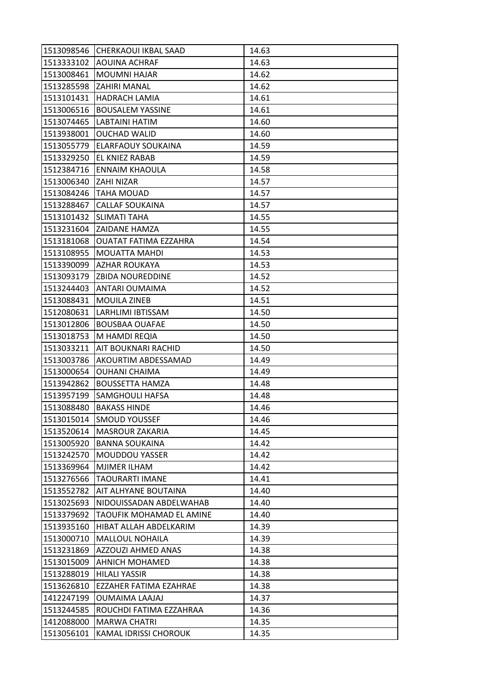| 1513098546 | <b>CHERKAOUI IKBAL SAAD</b>  | 14.63 |
|------------|------------------------------|-------|
|            | 1513333102 AOUINA ACHRAF     | 14.63 |
| 1513008461 | <b>MOUMNI HAJAR</b>          | 14.62 |
| 1513285598 | <b>ZAHIRI MANAL</b>          | 14.62 |
| 1513101431 | <b>HADRACH LAMIA</b>         | 14.61 |
| 1513006516 | <b>BOUSALEM YASSINE</b>      | 14.61 |
| 1513074465 | LABTAINI HATIM               | 14.60 |
| 1513938001 | <b>OUCHAD WALID</b>          | 14.60 |
| 1513055779 | <b>ELARFAOUY SOUKAINA</b>    | 14.59 |
| 1513329250 | <b>EL KNIEZ RABAB</b>        | 14.59 |
|            | 1512384716 ENNAIM KHAOULA    | 14.58 |
| 1513006340 | <b>ZAHI NIZAR</b>            | 14.57 |
| 1513084246 | ITAHA MOUAD                  | 14.57 |
| 1513288467 | <b>CALLAF SOUKAINA</b>       | 14.57 |
| 1513101432 | SLIMATI TAHA                 | 14.55 |
|            | 1513231604 ZAIDANE HAMZA     | 14.55 |
| 1513181068 | <b>OUATAT FATIMA EZZAHRA</b> | 14.54 |
| 1513108955 | <b>MOUATTA MAHDI</b>         | 14.53 |
| 1513390099 | <b>AZHAR ROUKAYA</b>         | 14.53 |
| 1513093179 | <b>ZBIDA NOUREDDINE</b>      | 14.52 |
|            | 1513244403 ANTARI OUMAIMA    | 14.52 |
| 1513088431 | <b>MOUILA ZINEB</b>          | 14.51 |
| 1512080631 | LARHLIMI IBTISSAM            | 14.50 |
| 1513012806 | <b>BOUSBAA OUAFAE</b>        | 14.50 |
| 1513018753 | M HAMDI REQIA                | 14.50 |
| 1513033211 | <b>AIT BOUKNARI RACHID</b>   | 14.50 |
| 1513003786 | AKOURTIM ABDESSAMAD          | 14.49 |
| 1513000654 | <b>OUHANI CHAIMA</b>         | 14.49 |
| 1513942862 | <b>BOUSSETTA HAMZA</b>       | 14.48 |
| 1513957199 | <b>SAMGHOULI HAFSA</b>       | 14.48 |
| 1513088480 | <b>BAKASS HINDE</b>          | 14.46 |
| 1513015014 | <b>SMOUD YOUSSEF</b>         | 14.46 |
| 1513520614 | <b>MASROUR ZAKARIA</b>       | 14.45 |
| 1513005920 | <b>BANNA SOUKAINA</b>        | 14.42 |
| 1513242570 | <b>MOUDDOU YASSER</b>        | 14.42 |
| 1513369964 | <b>MJIMER ILHAM</b>          | 14.42 |
| 1513276566 | TAOURARTI IMANE              | 14.41 |
| 1513552782 | AIT ALHYANE BOUTAINA         | 14.40 |
| 1513025693 | NIDOUISSADAN ABDELWAHAB      | 14.40 |
| 1513379692 | TAOUFIK MOHAMAD EL AMINE     | 14.40 |
| 1513935160 | HIBAT ALLAH ABDELKARIM       | 14.39 |
| 1513000710 | <b>MALLOUL NOHAILA</b>       | 14.39 |
| 1513231869 | <b>AZZOUZI AHMED ANAS</b>    | 14.38 |
| 1513015009 | <b>AHNICH MOHAMED</b>        | 14.38 |
| 1513288019 | <b>HILALI YASSIR</b>         | 14.38 |
| 1513626810 | EZZAHER FATIMA EZAHRAE       | 14.38 |
| 1412247199 | <b>OUMAIMA LAAJAJ</b>        | 14.37 |
| 1513244585 | IROUCHDI FATIMA EZZAHRAA     | 14.36 |
| 1412088000 | <b>MARWA CHATRI</b>          | 14.35 |
| 1513056101 | KAMAL IDRISSI CHOROUK        | 14.35 |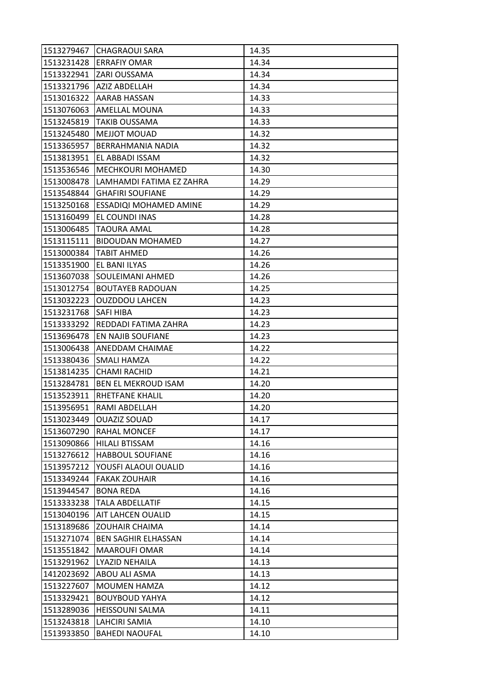|            | 1513279467 CHAGRAOUI SARA        | 14.35 |
|------------|----------------------------------|-------|
|            | 1513231428 ERRAFIY OMAR          | 14.34 |
| 1513322941 | <b>ZARI OUSSAMA</b>              | 14.34 |
|            | 1513321796   AZIZ ABDELLAH       | 14.34 |
|            | 1513016322   AARAB HASSAN        | 14.33 |
| 1513076063 | <b>AMELLAL MOUNA</b>             | 14.33 |
| 1513245819 | <b>TAKIB OUSSAMA</b>             | 14.33 |
| 1513245480 | <b>MEJJOT MOUAD</b>              | 14.32 |
| 1513365957 | IBERRAHMANIA NADIA               | 14.32 |
| 1513813951 | <b>EL ABBADI ISSAM</b>           | 14.32 |
|            | 1513536546   MECHKOURI MOHAMED   | 14.30 |
| 1513008478 | LAMHAMDI FATIMA EZ ZAHRA         | 14.29 |
| 1513548844 | <b>GHAFIRI SOUFIANE</b>          | 14.29 |
| 1513250168 | <b>ESSADIQI MOHAMED AMINE</b>    | 14.29 |
| 1513160499 | EL COUNDI INAS                   | 14.28 |
| 1513006485 | <b>TAOURA AMAL</b>               | 14.28 |
|            | 1513115111   BIDOUDAN MOHAMED    | 14.27 |
| 1513000384 | <b>TABIT AHMED</b>               | 14.26 |
| 1513351900 | <b>EL BANI ILYAS</b>             | 14.26 |
| 1513607038 | SOULEIMANI AHMED                 | 14.26 |
|            | 1513012754 BOUTAYEB RADOUAN      | 14.25 |
| 1513032223 | <b>OUZDDOU LAHCEN</b>            | 14.23 |
| 1513231768 | <b>SAFI HIBA</b>                 | 14.23 |
|            | 1513333292 REDDADI FATIMA ZAHRA  | 14.23 |
| 1513696478 | EN NAJIB SOUFIANE                | 14.23 |
| 1513006438 | <b>ANEDDAM CHAIMAE</b>           | 14.22 |
| 1513380436 | <b>SMALI HAMZA</b>               | 14.22 |
|            | 1513814235 CHAMI RACHID          | 14.21 |
| 1513284781 | <b>BEN EL MEKROUD ISAM</b>       | 14.20 |
|            | 1513523911  RHETFANE KHALIL      | 14.20 |
| 1513956951 | <b>IRAMI ABDELLAH</b>            | 14.20 |
| 1513023449 | <b>OUAZIZ SOUAD</b>              | 14.17 |
|            | 1513607290 RAHAL MONCEF          | 14.17 |
| 1513090866 | <b>HILALI BTISSAM</b>            | 14.16 |
| 1513276612 | <b>HABBOUL SOUFIANE</b>          | 14.16 |
| 1513957212 | YOUSFI ALAOUI OUALID             | 14.16 |
| 1513349244 | <b>FAKAK ZOUHAIR</b>             | 14.16 |
| 1513944547 | <b>BONA REDA</b>                 | 14.16 |
| 1513333238 | <b>TALA ABDELLATIF</b>           | 14.15 |
| 1513040196 | <b>AIT LAHCEN OUALID</b>         | 14.15 |
| 1513189686 | <b>ZOUHAIR CHAIMA</b>            | 14.14 |
|            | 1513271074   BEN SAGHIR ELHASSAN | 14.14 |
| 1513551842 | <b>MAAROUFI OMAR</b>             | 14.14 |
| 1513291962 | LYAZID NEHAILA                   | 14.13 |
| 1412023692 | ABOU ALI ASMA                    | 14.13 |
| 1513227607 | <b>MOUMEN HAMZA</b>              | 14.12 |
| 1513329421 | <b>BOUYBOUD YAHYA</b>            | 14.12 |
| 1513289036 | <b>HEISSOUNI SALMA</b>           | 14.11 |
| 1513243818 | LAHCIRI SAMIA                    | 14.10 |
| 1513933850 | <b>BAHEDI NAOUFAL</b>            | 14.10 |